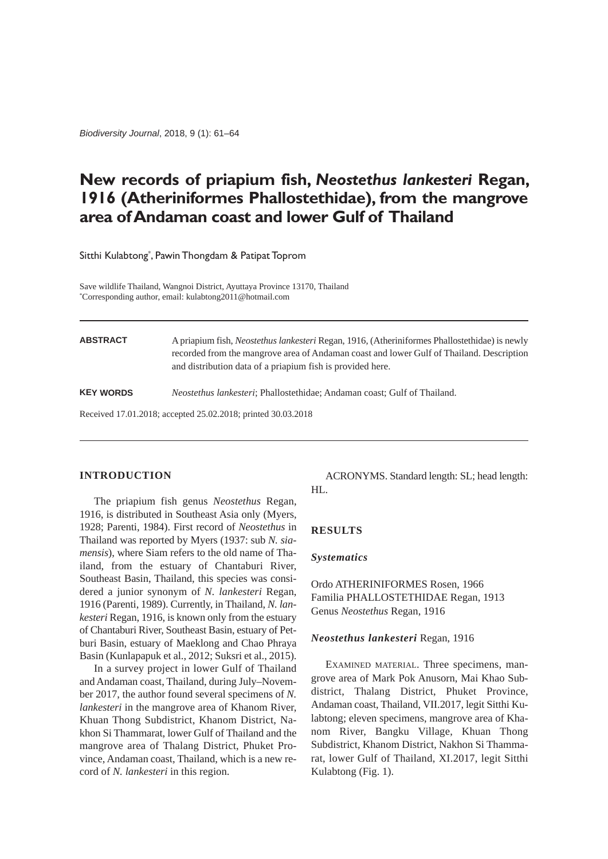*Biodiversity Journal*, 2018, 9 (1): 61–64

# **New records of priapium fish,** *Neostethus lankesteri* **Regan, 1916 (Atheriniformes Phallostethidae), from the mangrove area of Andaman coast and lower Gulf of Thailand**

Sitthi Kulabtong\* , Pawin Thongdam & Patipat Toprom

Save wildlife Thailand, Wangnoi District, Ayuttaya Province 13170, Thailand \* Corresponding author, email: kulabtong2011@hotmail.com

| <b>ABSTRACT</b>                                              | A priapium fish, <i>Neostethus lankesteri</i> Regan, 1916, (Atheriniformes Phallostethidae) is newly<br>recorded from the mangrove area of Andaman coast and lower Gulf of Thailand. Description<br>and distribution data of a priapium fish is provided here. |
|--------------------------------------------------------------|----------------------------------------------------------------------------------------------------------------------------------------------------------------------------------------------------------------------------------------------------------------|
| <b>KEY WORDS</b>                                             | <i>Neostethus lankesteri</i> ; Phallostethidae; Andaman coast; Gulf of Thailand.                                                                                                                                                                               |
| Received 17.01.2018; accepted 25.02.2018; printed 30.03.2018 |                                                                                                                                                                                                                                                                |

## **INTRODUCTION**

The priapium fish genus *Neostethus* Regan, 1916, is distributed in Southeast Asia only (Myers, 1928; Parenti, 1984). First record of *Neostethus* in Thailand was reported by Myers (1937: sub *N. siamensis*), where Siam refers to the old name of Thailand, from the estuary of Chantaburi River, Southeast Basin, Thailand, this species was considered a junior synonym of *N. lankesteri* Regan, 1916 (Parenti, 1989). Currently, in Thailand, *N. lankesteri* Regan, 1916, is known only from the estuary of Chantaburi River, Southeast Basin, estuary of Petburi Basin, estuary of Maeklong and Chao Phraya Basin (Kunlapapuk et al., 2012; Suksri et al., 2015).

In a survey project in lower Gulf of Thailand and Andaman coast, Thailand, during July–November 2017, the author found several specimens of *N. lankesteri* in the mangrove area of Khanom River, Khuan Thong Subdistrict, Khanom District, Nakhon Si Thammarat, lower Gulf of Thailand and the mangrove area of Thalang District, Phuket Province, Andaman coast, Thailand, which is a new record of *N. lankesteri* in this region.

ACRONYMS. Standard length: SL; head length: HL.

### **RESULTS**

#### *Systematics*

Ordo ATHERINIFORMES Rosen, 1966 Familia PHALLOSTETHIDAE Regan, 1913 Genus *Neostethus* Regan, 1916

#### *Neostethus lankesteri* Regan, 1916

EXAMINED MATERIAL. Three specimens, mangrove area of Mark Pok Anusorn, Mai Khao Subdistrict, Thalang District, Phuket Province, Andaman coast, Thailand, VII.2017, legit Sitthi Kulabtong; eleven specimens, mangrove area of Khanom River, Bangku Village, Khuan Thong Subdistrict, Khanom District, Nakhon Si Thammarat, lower Gulf of Thailand, XI.2017, legit Sitthi Kulabtong (Fig. 1).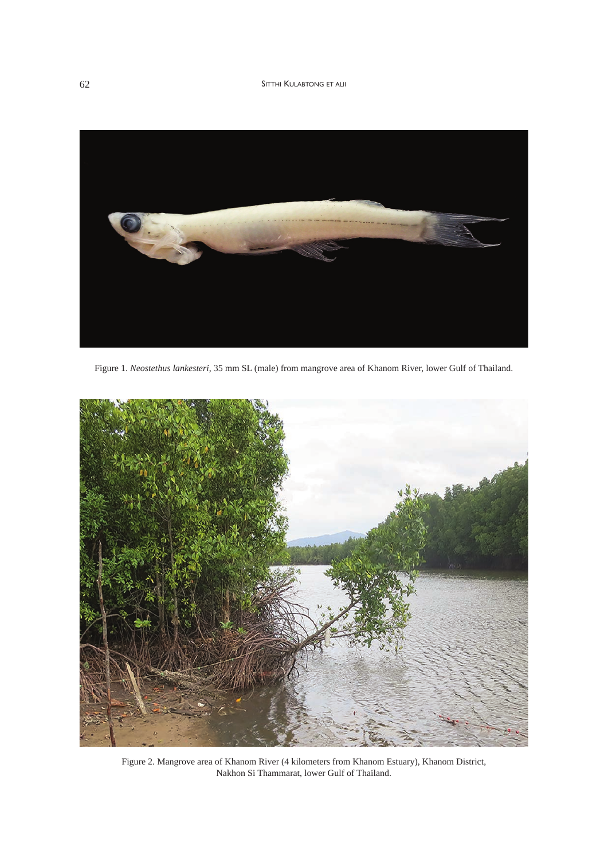## 62 SITTHI KULABTONG ET ALII



Figure 1. *Neostethus lankesteri*, 35 mm SL (male) from mangrove area of Khanom River, lower Gulf of Thailand.



Figure 2. Mangrove area of Khanom River (4 kilometers from Khanom Estuary), Khanom District, Nakhon Si Thammarat, lower Gulf of Thailand.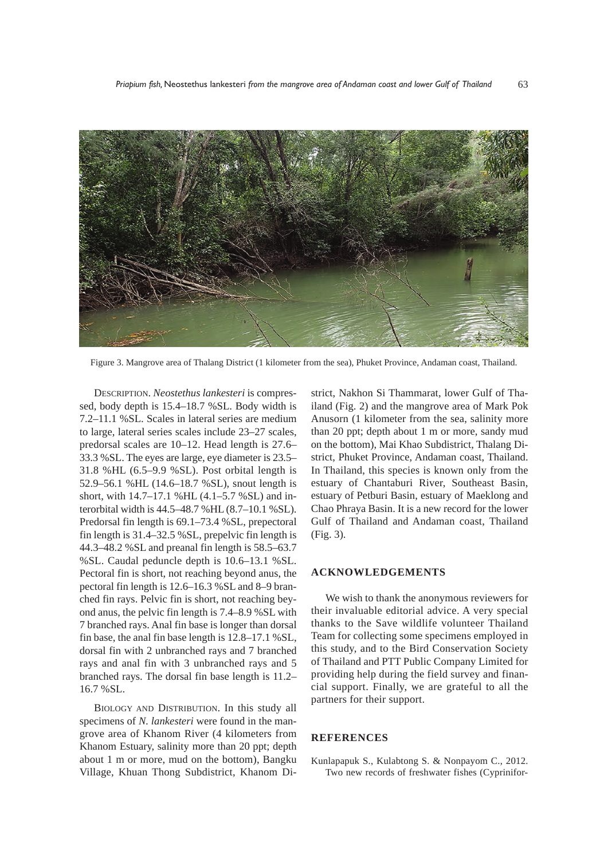

Figure 3. Mangrove area of Thalang District (1 kilometer from the sea), Phuket Province, Andaman coast, Thailand.

DESCRIPTION. *Neostethus lankesteri* is compressed, body depth is 15.4–18.7 %SL. Body width is 7.2–11.1 %SL. Scales in lateral series are medium to large, lateral series scales include 23–27 scales, predorsal scales are 10–12. Head length is 27.6– 33.3 %SL. The eyes are large, eye diameter is 23.5– 31.8 %HL (6.5–9.9 %SL). Post orbital length is 52.9–56.1 %HL (14.6–18.7 %SL), snout length is short, with 14.7–17.1 %HL (4.1–5.7 %SL) and interorbital width is 44.5–48.7 %HL (8.7–10.1 %SL). Predorsal fin length is 69.1–73.4 %SL, prepectoral fin length is 31.4–32.5 %SL, prepelvic fin length is 44.3–48.2 %SL and preanal fin length is 58.5–63.7 %SL. Caudal peduncle depth is 10.6–13.1 %SL. Pectoral fin is short, not reaching beyond anus, the pectoral fin length is 12.6–16.3 %SL and 8–9 branched fin rays. Pelvic fin is short, not reaching beyond anus, the pelvic fin length is 7.4–8.9 %SL with 7 branched rays. Anal fin base is longer than dorsal fin base, the anal fin base length is 12.8–17.1 %SL, dorsal fin with 2 unbranched rays and 7 branched rays and anal fin with 3 unbranched rays and 5 branched rays. The dorsal fin base length is 11.2– 16.7 %SL.

BIOLOGY AND DISTRIBUTION. In this study all specimens of *N. lankesteri* were found in the mangrove area of Khanom River (4 kilometers from Khanom Estuary, salinity more than 20 ppt; depth about 1 m or more, mud on the bottom), Bangku Village, Khuan Thong Subdistrict, Khanom District, Nakhon Si Thammarat, lower Gulf of Thailand (Fig. 2) and the mangrove area of Mark Pok Anusorn (1 kilometer from the sea, salinity more than 20 ppt; depth about 1 m or more, sandy mud on the bottom), Mai Khao Subdistrict, Thalang District, Phuket Province, Andaman coast, Thailand. In Thailand, this species is known only from the estuary of Chantaburi River, Southeast Basin, estuary of Petburi Basin, estuary of Maeklong and Chao Phraya Basin. It is a new record for the lower Gulf of Thailand and Andaman coast, Thailand (Fig. 3).

#### **ACKNOWLEDGEMENTS**

We wish to thank the anonymous reviewers for their invaluable editorial advice. A very special thanks to the Save wildlife volunteer Thailand Team for collecting some specimens employed in this study, and to the Bird Conservation Society of Thailand and PTT Public Company Limited for providing help during the field survey and financial support. Finally, we are grateful to all the partners for their support.

## **REFERENCES**

Kunlapapuk S., Kulabtong S. & Nonpayom C., 2012. Two new records of freshwater fishes (Cyprinifor